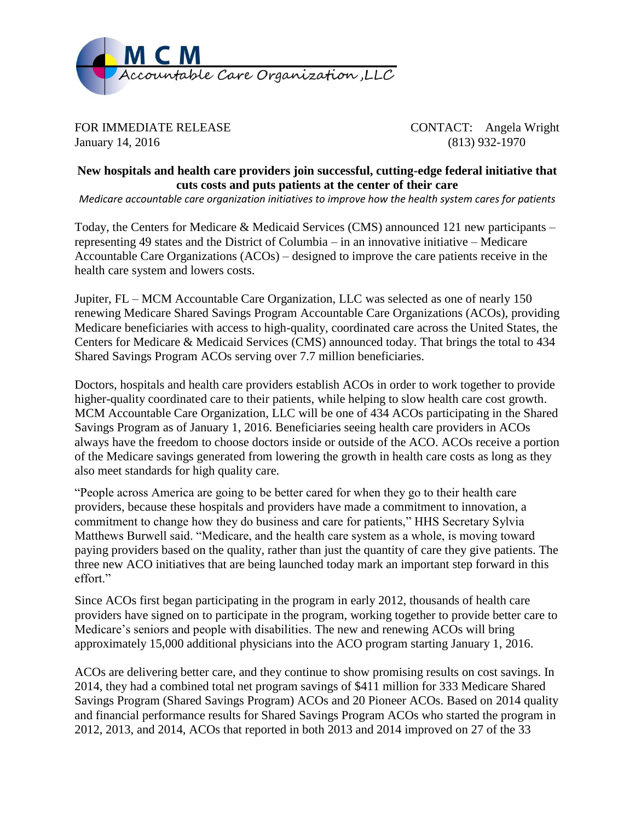

FOR IMMEDIATE RELEASE CONTACT: Angela Wright January 14, 2016 (813) 932-1970

## **New hospitals and health care providers join successful, cutting-edge federal initiative that cuts costs and puts patients at the center of their care**

*Medicare accountable care organization initiatives to improve how the health system cares for patients*

Today, the Centers for Medicare & Medicaid Services (CMS) announced 121 new participants – representing 49 states and the District of Columbia – in an innovative initiative – Medicare Accountable Care Organizations (ACOs) – designed to improve the care patients receive in the health care system and lowers costs.

Jupiter, FL – MCM Accountable Care Organization, LLC was selected as one of nearly 150 renewing Medicare Shared Savings Program Accountable Care Organizations (ACOs), providing Medicare beneficiaries with access to high-quality, coordinated care across the United States, the Centers for Medicare & Medicaid Services (CMS) announced today. That brings the total to 434 Shared Savings Program ACOs serving over 7.7 million beneficiaries.

Doctors, hospitals and health care providers establish ACOs in order to work together to provide higher-quality coordinated care to their patients, while helping to slow health care cost growth. MCM Accountable Care Organization, LLC will be one of 434 ACOs participating in the Shared Savings Program as of January 1, 2016. Beneficiaries seeing health care providers in ACOs always have the freedom to choose doctors inside or outside of the ACO. ACOs receive a portion of the Medicare savings generated from lowering the growth in health care costs as long as they also meet standards for high quality care.

"People across America are going to be better cared for when they go to their health care providers, because these hospitals and providers have made a commitment to innovation, a commitment to change how they do business and care for patients," HHS Secretary Sylvia Matthews Burwell said. "Medicare, and the health care system as a whole, is moving toward paying providers based on the quality, rather than just the quantity of care they give patients. The three new ACO initiatives that are being launched today mark an important step forward in this effort."

Since ACOs first began participating in the program in early 2012, thousands of health care providers have signed on to participate in the program, working together to provide better care to Medicare's seniors and people with disabilities. The new and renewing ACOs will bring approximately 15,000 additional physicians into the ACO program starting January 1, 2016.

ACOs are delivering better care, and they continue to show promising results on cost savings. In 2014, they had a combined total net program savings of \$411 million for 333 Medicare Shared Savings Program (Shared Savings Program) ACOs and 20 Pioneer ACOs. Based on 2014 quality and financial performance results for Shared Savings Program ACOs who started the program in 2012, 2013, and 2014, ACOs that reported in both 2013 and 2014 improved on 27 of the 33